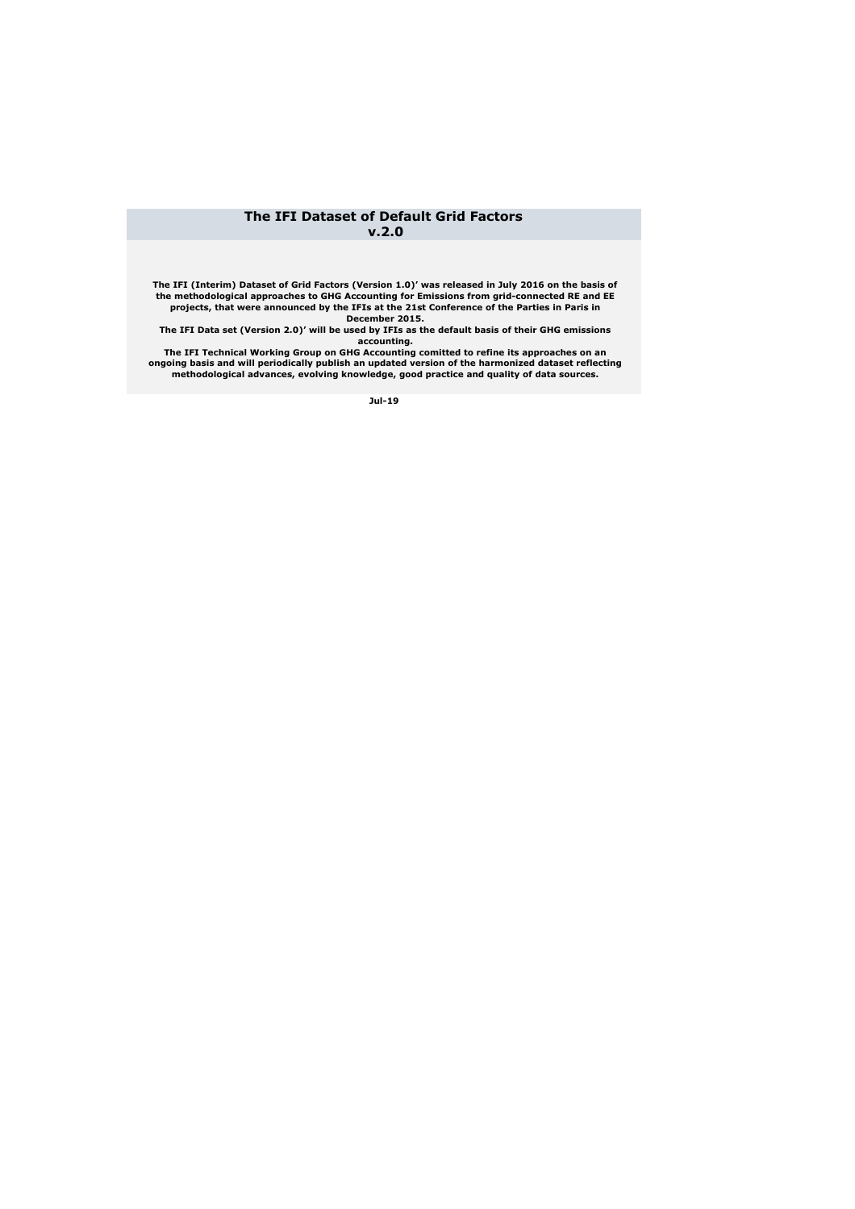## **The IFI Dataset of Default Grid Factors v.2.0**

**The IFI (Interim) Dataset of Grid Factors (Version 1.0)' was released in July 2016 on the basis of the methodological approaches to GHG Accounting for Emissions from grid-connected RE and EE projects, that were announced by the IFIs at the 21st Conference of the Parties in Paris in December 2015.** 

**The IFI Data set (Version 2.0)' will be used by IFIs as the default basis of their GHG emissions accounting.**

**The IFI Technical Working Group on GHG Accounting comitted to refine its approaches on an ongoing basis and will periodically publish an updated version of the harmonized dataset reflecting methodological advances, evolving knowledge, good practice and quality of data sources.** 

**Jul-19**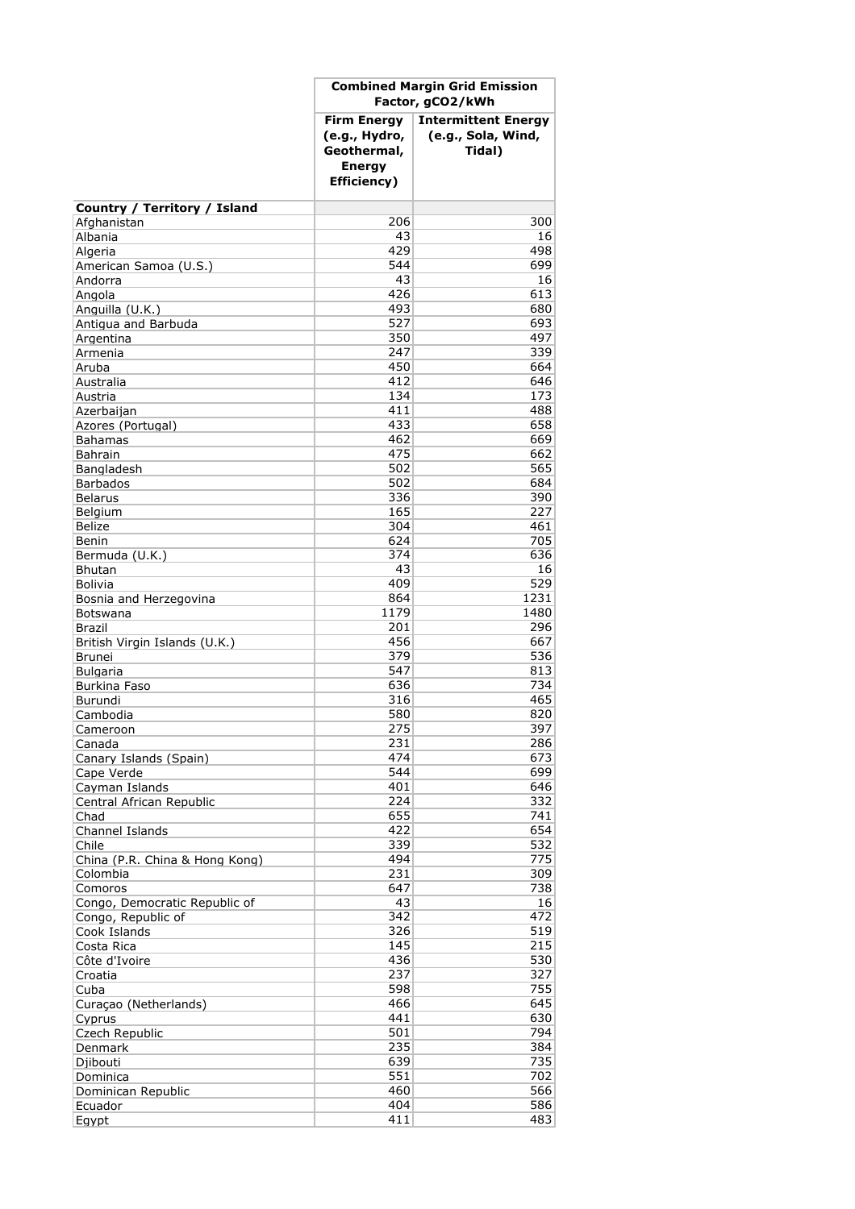|                                            | <b>Combined Margin Grid Emission</b><br>Factor, gCO2/kWh                           |                                                            |
|--------------------------------------------|------------------------------------------------------------------------------------|------------------------------------------------------------|
|                                            | <b>Firm Energy</b><br>(e.g., Hydro,<br>Geothermal,<br><b>Energy</b><br>Efficiency) | <b>Intermittent Energy</b><br>(e.g., Sola, Wind,<br>Tidal) |
| Country / Territory / Island               |                                                                                    |                                                            |
| Afghanistan                                | 206                                                                                | 300                                                        |
| Albania                                    | 43                                                                                 | 16                                                         |
| Algeria                                    | 429                                                                                | 498                                                        |
| American Samoa (U.S.)                      | 544                                                                                | 699                                                        |
| Andorra                                    | 43<br>426                                                                          | 16<br>613                                                  |
| Angola<br>Anguilla (U.K.)                  | 493                                                                                | 680                                                        |
| Antigua and Barbuda                        | 527                                                                                | 693                                                        |
| Argentina                                  | 350                                                                                | 497                                                        |
| Armenia                                    | 247                                                                                | 339                                                        |
| Aruba                                      | 450                                                                                | 664                                                        |
| Australia                                  | 412                                                                                | 646                                                        |
| Austria                                    | 134                                                                                | 173                                                        |
| Azerbaijan<br>Azores (Portugal)            | 411<br>433                                                                         | 488<br>658                                                 |
| <b>Bahamas</b>                             | 462                                                                                | 669                                                        |
| <b>Bahrain</b>                             | 475                                                                                | 662                                                        |
| Bangladesh                                 | 502                                                                                | 565                                                        |
| <b>Barbados</b>                            | 502                                                                                | 684                                                        |
| <b>Belarus</b>                             | 336                                                                                | 390                                                        |
| Belgium                                    | 165                                                                                | 227                                                        |
| Belize                                     | 304                                                                                | 461<br>705                                                 |
| Benin<br>Bermuda (U.K.)                    | 624<br>374                                                                         | 636                                                        |
| <b>Bhutan</b>                              | 43                                                                                 | 16                                                         |
| <b>Bolivia</b>                             | 409                                                                                | 529                                                        |
| Bosnia and Herzegovina                     | 864                                                                                | 1231                                                       |
| Botswana                                   | 1179                                                                               | 1480                                                       |
| Brazil                                     | 201                                                                                | 296                                                        |
| British Virgin Islands (U.K.)              | 456                                                                                | 667                                                        |
| <b>Brunei</b><br><b>Bulgaria</b>           | 379<br>547                                                                         | 536<br>813                                                 |
| Burkina Faso                               | 636                                                                                | 734                                                        |
| Burundi                                    | 316                                                                                | 465                                                        |
| Cambodia                                   | 580                                                                                | 820                                                        |
| Cameroon                                   | 275                                                                                | 397                                                        |
| Canada                                     | 231                                                                                | 286                                                        |
| Canary Islands (Spain)                     | 474                                                                                | 673                                                        |
| Cape Verde                                 | 544                                                                                | 699                                                        |
| Cayman Islands<br>Central African Republic | 401<br>224                                                                         | 646<br>332                                                 |
| Chad                                       | 655                                                                                | 741                                                        |
| Channel Islands                            | 422                                                                                | 654                                                        |
| Chile                                      | 339                                                                                | 532                                                        |
| China (P.R. China & Hong Kong)             | 494                                                                                | 775                                                        |
| Colombia                                   | 231                                                                                | 309                                                        |
| Comoros                                    | 647                                                                                | 738                                                        |
| Congo, Democratic Republic of              | 43                                                                                 | 16                                                         |
| Congo, Republic of<br>Cook Islands         | 342<br>326                                                                         | 472<br>519                                                 |
| Costa Rica                                 | 145                                                                                | 215                                                        |
| Côte d'Ivoire                              | 436                                                                                | 530                                                        |
| Croatia                                    | 237                                                                                | 327                                                        |
| Cuba                                       | 598                                                                                | 755                                                        |
| Curaçao (Netherlands)                      | 466                                                                                | 645                                                        |
| Cyprus                                     | 441                                                                                | 630                                                        |
| Czech Republic                             | 501                                                                                | 794<br>384                                                 |
| Denmark<br>Djibouti                        | 235<br>639                                                                         | 735                                                        |
| Dominica                                   | 551                                                                                | 702                                                        |
| Dominican Republic                         | 460                                                                                | 566                                                        |
| Ecuador                                    | 404                                                                                | 586                                                        |
| Egypt                                      | 411                                                                                | 483                                                        |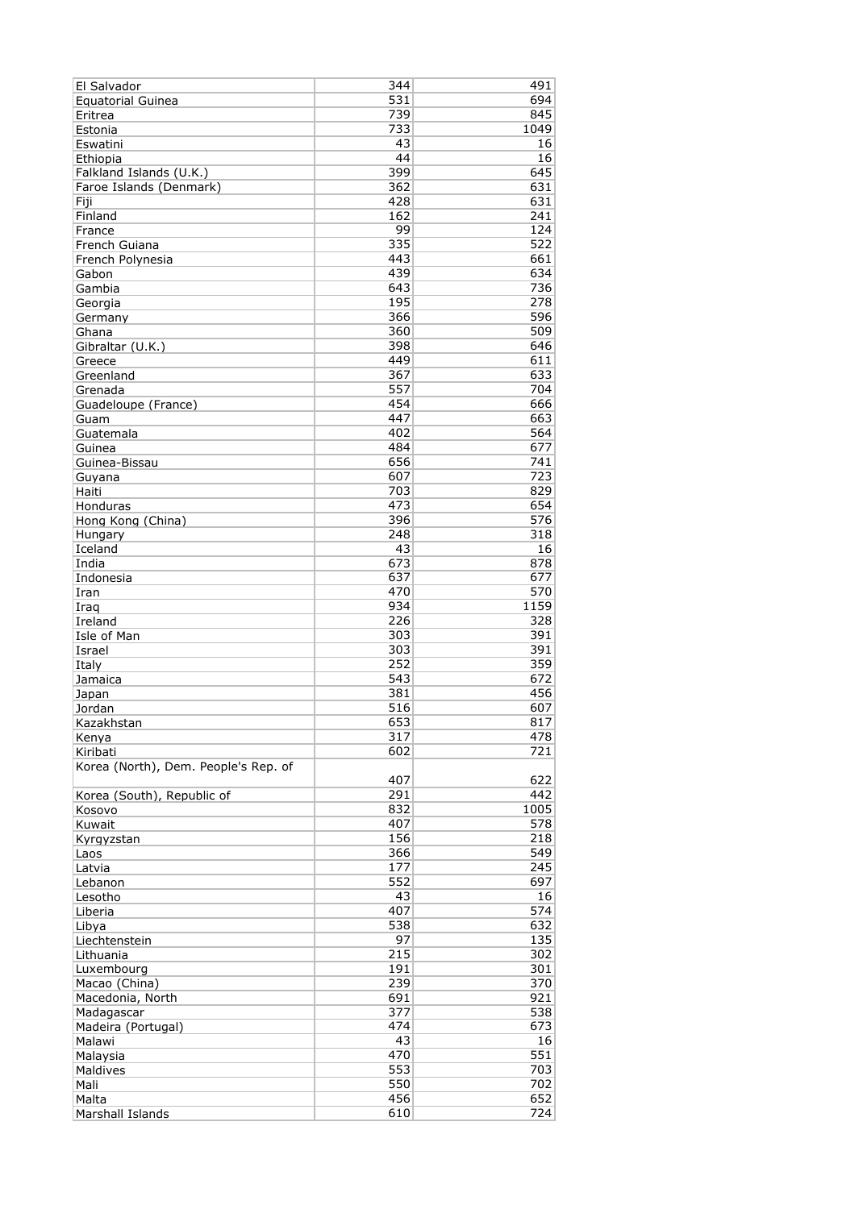| El Salvador                          | 344        | 491        |
|--------------------------------------|------------|------------|
| <b>Equatorial Guinea</b>             | 531        | 694        |
| Eritrea                              | 739        | 845        |
| Estonia                              | 733        | 1049       |
| Eswatini                             | 43         | 16         |
| Ethiopia                             | 44         | 16         |
| Falkland Islands (U.K.)              | 399        | 645        |
| Faroe Islands (Denmark)              | 362        | 631        |
| Fiji                                 | 428        | 631        |
| Finland                              | 162        | 241        |
| France                               | 99         | 124        |
| French Guiana                        | 335        | 522        |
| French Polynesia                     | 443        | 661        |
| Gabon                                | 439        | 634        |
| Gambia                               | 643        | 736        |
| Georgia                              | 195        | 278        |
| Germany                              | 366        | 596        |
| Ghana                                | 360        | 509        |
| Gibraltar (U.K.)                     | 398        | 646<br>611 |
| Greece                               | 449<br>367 | 633        |
| Greenland                            | 557        | 704        |
| Grenada                              | 454        | 666        |
| Guadeloupe (France)                  | 447        | 663        |
| Guam<br>Guatemala                    | 402        | 564        |
| Guinea                               | 484        | 677        |
| Guinea-Bissau                        | 656        | 741        |
|                                      | 607        | 723        |
| Guyana<br>Haiti                      | 703        | 829        |
| Honduras                             | 473        | 654        |
| Hong Kong (China)                    | 396        | 576        |
| Hungary                              | 248        | 318        |
| Iceland                              | 43         | 16         |
| India                                | 673        | 878        |
| Indonesia                            | 637        | 677        |
| Iran                                 | 470        | 570        |
| Iraq                                 | 934        | 1159       |
| Ireland                              | 226        | 328        |
| Isle of Man                          | 303        | 391        |
| Israel                               | 303        | 391        |
| Italy                                | 252        | 359        |
| Jamaica                              | 543        | 672        |
| Japan                                | 381        | 456        |
| Jordan                               | 516        | 607        |
| Kazakhstan                           | 653        | 817        |
| Kenya                                | 317        | 478        |
| Kiribati                             | 602        | 721        |
| Korea (North), Dem. People's Rep. of |            |            |
|                                      | 407        | 622        |
| Korea (South), Republic of           | 291        | 442        |
| Kosovo                               | 832        | 1005       |
| Kuwait                               | 407        | 578        |
| Kyrgyzstan                           | 156        | 218        |
| Laos                                 | 366        | 549        |
| Latvia                               | 177        | 245        |
| Lebanon                              | 552        | 697        |
| Lesotho                              | 43         | 16         |
| Liberia                              | 407        | 574        |
| Libya                                | 538        | 632        |
| Liechtenstein                        | 97         | 135        |
| Lithuania                            | 215        | 302        |
| Luxembourg                           | 191        | 301        |
| Macao (China)                        | 239        | 370        |
| Macedonia, North                     | 691        | 921        |
| Madagascar                           | 377        | 538        |
| Madeira (Portugal)                   | 474        | 673        |
| Malawi                               | 43         | 16         |
| Malaysia                             | 470        | 551        |
| Maldives                             | 553        | 703        |
| Mali                                 | 550        | 702        |
| Malta                                | 456        | 652        |
| Marshall Islands                     | 610        | 724        |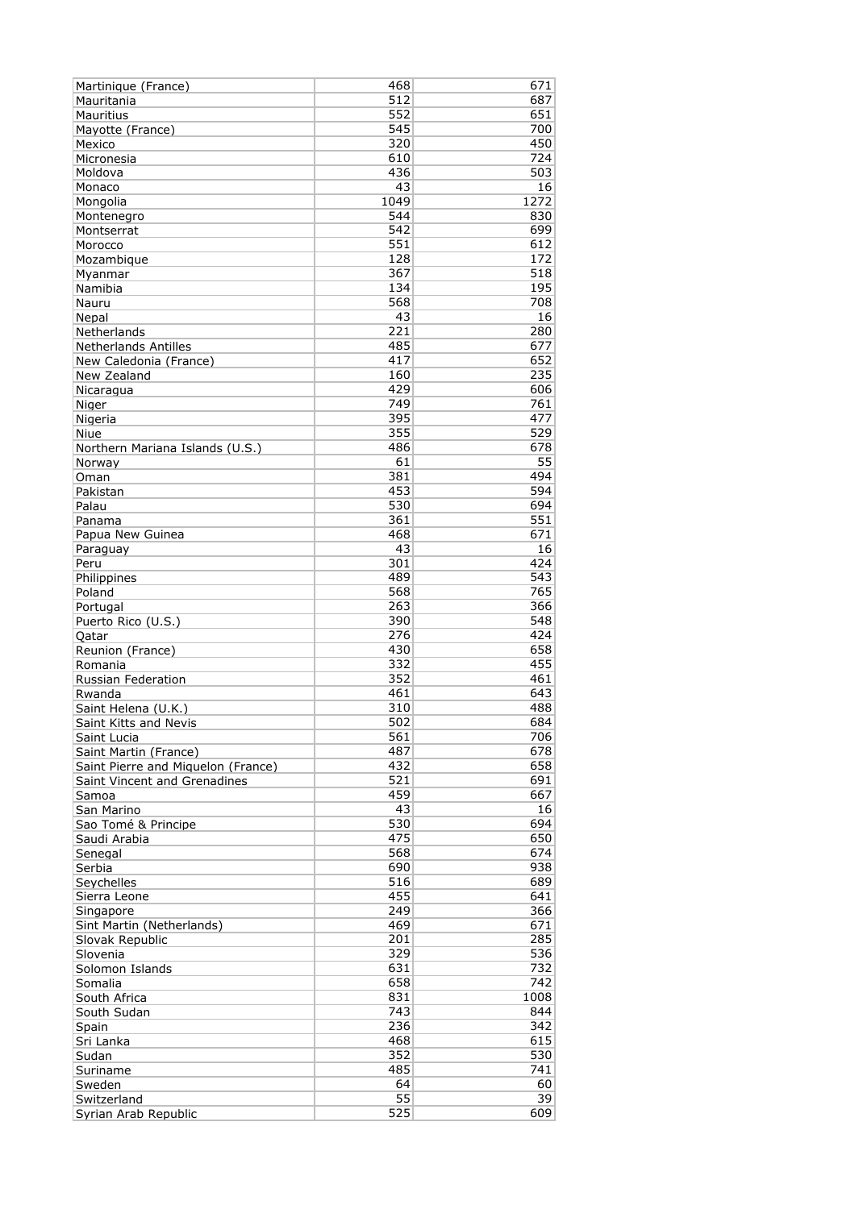| Martinique (France)                | 468  | 671  |
|------------------------------------|------|------|
| Mauritania                         | 512  | 687  |
| Mauritius                          | 552  | 651  |
| Mayotte (France)                   | 545  | 700  |
| Mexico                             | 320  | 450  |
| Micronesia                         | 610  | 724  |
| Moldova                            | 436  | 503  |
| Monaco                             | 43   | 16   |
| Mongolia                           | 1049 | 1272 |
| Montenegro                         | 544  | 830  |
| Montserrat                         | 542  | 699  |
| Morocco                            | 551  | 612  |
| Mozambigue                         | 128  | 172  |
| Myanmar                            | 367  | 518  |
| Namibia                            | 134  | 195  |
| Nauru                              | 568  | 708  |
| Nepal                              | 43   | 16   |
| Netherlands                        | 221  | 280  |
| <b>Netherlands Antilles</b>        | 485  | 677  |
| New Caledonia (France)             | 417  | 652  |
| New Zealand                        | 160  | 235  |
| Nicaragua                          | 429  | 606  |
| Niger                              | 749  | 761  |
| Nigeria                            | 395  | 477  |
| Niue                               | 355  | 529  |
| Northern Mariana Islands (U.S.)    | 486  | 678  |
|                                    | 61   | 55   |
| Norway                             |      |      |
| Oman                               | 381  | 494  |
| Pakistan                           | 453  | 594  |
| Palau                              | 530  | 694  |
| Panama                             | 361  | 551  |
| Papua New Guinea                   | 468  | 671  |
| Paraguay                           | 43   | 16   |
| Peru                               | 301  | 424  |
| Philippines                        | 489  | 543  |
| Poland                             | 568  | 765  |
| Portugal                           | 263  | 366  |
| Puerto Rico (U.S.)                 | 390  | 548  |
| Oatar                              | 276  | 424  |
| Reunion (France)                   | 430  | 658  |
| Romania                            | 332  | 455  |
| Russian Federation                 | 352  | 461  |
| Rwanda                             | 461  | 643  |
| Saint Helena (U.K.)                | 310  | 488  |
| Saint Kitts and Nevis              | 502  | 684  |
| Saint Lucia                        | 561  | 706  |
| Saint Martin (France)              | 487  | 678  |
| Saint Pierre and Miquelon (France) | 432  | 658  |
| Saint Vincent and Grenadines       | 521  | 691  |
| Samoa                              | 459  | 667  |
| San Marino                         | 43   | 16   |
|                                    | 530  | 694  |
| Sao Tomé & Principe                | 475  | 650  |
| Saudi Arabia                       | 568  | 674  |
| Senegal                            |      |      |
| Serbia                             | 690  | 938  |
| Seychelles                         | 516  | 689  |
| Sierra Leone                       | 455  | 641  |
| Singapore                          | 249  | 366  |
| Sint Martin (Netherlands)          | 469  | 671  |
| Slovak Republic                    | 201  | 285  |
| Slovenia                           | 329  | 536  |
| Solomon Islands                    | 631  | 732  |
| Somalia                            | 658  | 742  |
| South Africa                       | 831  | 1008 |
| South Sudan                        | 743  | 844  |
| Spain                              | 236  | 342  |
| Sri Lanka                          | 468  | 615  |
| Sudan                              | 352  | 530  |
| Suriname                           | 485  | 741  |
| Sweden                             | 64   | 60   |
| Switzerland                        | 55   | 39   |
| Syrian Arab Republic               | 525  | 609  |